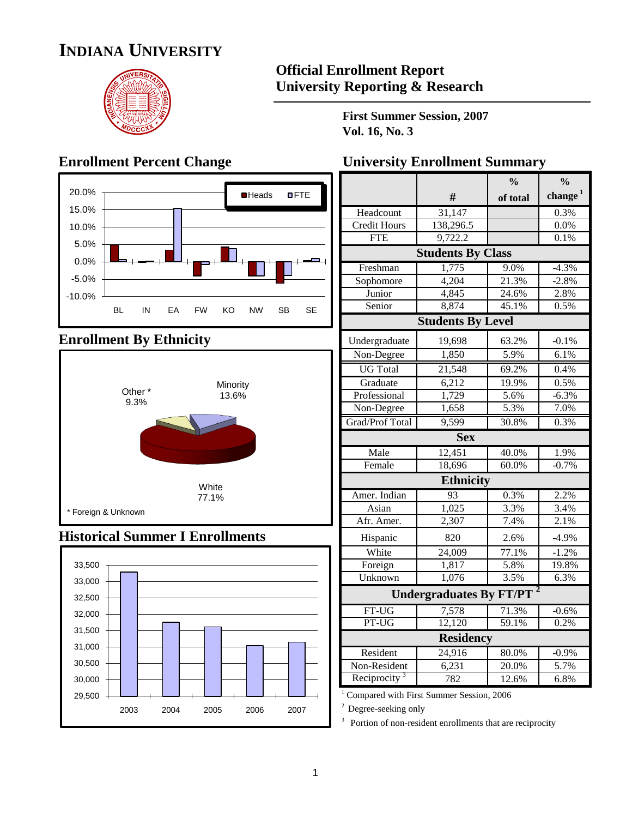# **INDIANA UNIVERSITY**



#### **Official Enrollment Report University Reporting & Research**

**First Summer Session, 2007 Vol. 16, No. 3**



### **Enrollment By Ethnicity**



#### **Historical Summer I Enrollments**



#### **Enrollment Percent Change University Enrollment Summary**

|                          |                                | $\frac{0}{0}$ | $\frac{0}{0}$ |
|--------------------------|--------------------------------|---------------|---------------|
|                          | #                              | of total      | change $1$    |
| Headcount                | 31,147                         |               | 0.3%          |
| Credit Hours             | 138,296.5                      |               | $0.0\%$       |
| <b>FTE</b>               | 9,722.2                        |               | 0.1%          |
|                          | <b>Students By Class</b>       |               |               |
| Freshman                 | 1,775                          | 9.0%          | $-4.3%$       |
| Sophomore                | 4,204                          | 21.3%         | $-2.8%$       |
| Junior                   | 4,845                          | 24.6%         | 2.8%          |
| Senior                   | 8,874                          | 45.1%         | 0.5%          |
|                          | <b>Students By Level</b>       |               |               |
| Undergraduate            | 19,698                         | 63.2%         | $-0.1%$       |
| Non-Degree               | 1,850                          | 5.9%          | 6.1%          |
| <b>UG</b> Total          | 21,548                         | 69.2%         | 0.4%          |
| Graduate                 | 6,212                          | 19.9%         | 0.5%          |
| Professional             | 1,729                          | 5.6%          | $-6.3%$       |
| Non-Degree               | 1,658                          | 5.3%          | 7.0%          |
| Grad/Prof Total          | 9,599                          | 30.8%         | 0.3%          |
|                          | <b>Sex</b>                     |               |               |
| Male                     | 12,451                         | 40.0%         | 1.9%          |
| Female                   | 18,696                         | 60.0%         | $-0.7%$       |
|                          | <b>Ethnicity</b>               |               |               |
| Amer. Indian             | 93                             | 0.3%          | 2.2%          |
| Asian                    | 1,025                          | 3.3%          | 3.4%          |
| Afr. Amer.               | 2,307                          | 7.4%          | 2.1%          |
| Hispanic                 | 820                            | 2.6%          | $-4.9%$       |
| White                    | 24,009                         | 77.1%         | $-1.2%$       |
| Foreign                  | 1,817                          | 5.8%          | 19.8%         |
| Unknown                  | 1,076                          | 3.5%          | 6.3%          |
|                          | <b>Undergraduates By FT/PT</b> |               |               |
| FT-UG                    | 7,578                          | 71.3%         | $-0.6\%$      |
| PT-UG                    | 12,120                         | 59.1%         | 0.2%          |
|                          | <b>Residency</b>               |               |               |
| Resident                 | 24,916                         | 80.0%         | $-0.9%$       |
| Non-Resident             | 6,231                          | 20.0%         | 5.7%          |
| Reciprocity <sup>3</sup> | 782                            | 12.6%         | 6.8%          |

<sup>1</sup> Compared with First Summer Session, 2006

<sup>2</sup> Degree-seeking only

 $3$  Portion of non-resident enrollments that are reciprocity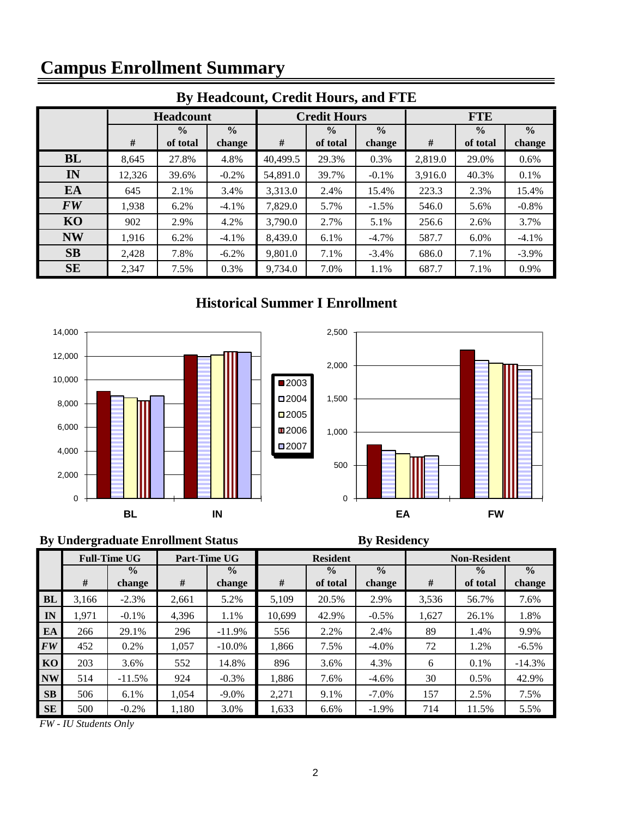# **Campus Enrollment Summary**

| By Headcount, Credit Hours, and FTE |        |                  |               |                                |                     |               |            |               |          |  |  |  |  |
|-------------------------------------|--------|------------------|---------------|--------------------------------|---------------------|---------------|------------|---------------|----------|--|--|--|--|
|                                     |        | <b>Headcount</b> |               |                                | <b>Credit Hours</b> |               | <b>FTE</b> |               |          |  |  |  |  |
|                                     |        | $\frac{0}{0}$    | $\frac{0}{0}$ | $\frac{6}{9}$<br>$\frac{0}{0}$ |                     | $\frac{0}{0}$ |            | $\frac{0}{0}$ |          |  |  |  |  |
|                                     | #      | of total         | change        | #                              | of total            | change        | #          | of total      | change   |  |  |  |  |
| BL                                  | 8,645  | 27.8%            | 4.8%          | 40,499.5                       | 29.3%               | 0.3%          | 2,819.0    | 29.0%         | 0.6%     |  |  |  |  |
| IN                                  | 12,326 | 39.6%            | $-0.2%$       | 54,891.0                       | 39.7%               | $-0.1\%$      | 3,916.0    | 40.3%         | 0.1%     |  |  |  |  |
| EA                                  | 645    | 2.1%             | 3.4%          | 3,313.0                        | 2.4%                | 15.4%         | 223.3      | 2.3%          | 15.4%    |  |  |  |  |
| <b>FW</b>                           | 1,938  | 6.2%             | $-4.1%$       | 7,829.0                        | 5.7%                | $-1.5%$       | 546.0      | 5.6%          | $-0.8\%$ |  |  |  |  |
| KO                                  | 902    | 2.9%             | 4.2%          | 3,790.0                        | 2.7%                | 5.1%          | 256.6      | 2.6%          | 3.7%     |  |  |  |  |
| <b>NW</b>                           | 1,916  | 6.2%             | $-4.1\%$      | 8,439.0                        | 6.1%                | $-4.7\%$      | 587.7      | $6.0\%$       | $-4.1\%$ |  |  |  |  |
| SB                                  | 2,428  | 7.8%             | $-6.2\%$      | 9,801.0                        | 7.1%                | $-3.4\%$      | 686.0      | 7.1%          | $-3.9\%$ |  |  |  |  |
| <b>SE</b>                           | 2,347  | 7.5%             | 0.3%          | 9,734.0                        | 7.0%                | 1.1%          | 687.7      | 7.1%          | 0.9%     |  |  |  |  |

## **By Headcount, Credit Hours, and FTE**

#### **Historical Summer I Enrollment**





#### **By Undergraduate Enrollment Status By Residency**

|           |       | <b>Full-Time UG</b> | Part-Time UG |               |        | <b>Resident</b> |               | <b>Non-Resident</b> |               |               |  |  |
|-----------|-------|---------------------|--------------|---------------|--------|-----------------|---------------|---------------------|---------------|---------------|--|--|
|           |       | $\frac{0}{0}$       |              | $\frac{0}{0}$ |        | $\frac{0}{0}$   | $\frac{0}{0}$ |                     | $\frac{0}{0}$ | $\frac{0}{0}$ |  |  |
|           | #     | change              | #            | change        | #      | of total        | change        | #                   | of total      | change        |  |  |
| <b>BL</b> | 3.166 | $-2.3%$             | 2.661        | 5.2%          | 5.109  | 20.5%           | 2.9%          | 3,536               | 56.7%         | 7.6%          |  |  |
| IN        | 1,971 | $-0.1\%$            | 4,396        | 1.1%          | 10.699 | 42.9%           | $-0.5\%$      | 1,627               | 26.1%         | 1.8%          |  |  |
| EA        | 266   | 29.1%               | 296          | $-11.9%$      | 556    | 2.2%            | 2.4%          | 89                  | 1.4%          | 9.9%          |  |  |
| <b>FW</b> | 452   | 0.2%                | 1,057        | $-10.0\%$     | 1.866  | 7.5%            | $-4.0\%$      | 72                  | 1.2%          | $-6.5\%$      |  |  |
| KO.       | 203   | 3.6%                | 552          | 14.8%         | 896    | 3.6%            | 4.3%          | 6                   | 0.1%          | $-14.3%$      |  |  |
| <b>NW</b> | 514   | $-11.5%$            | 924          | $-0.3\%$      | 1.886  | 7.6%            | $-4.6\%$      | 30                  | 0.5%          | 42.9%         |  |  |
| SB        | 506   | 6.1%                | 1,054        | $-9.0\%$      | 2,271  | 9.1%            | $-7.0\%$      | 157                 | 2.5%          | 7.5%          |  |  |
| <b>SE</b> | 500   | $-0.2\%$            | 1,180        | 3.0%          | 1,633  | 6.6%            | $-1.9%$       | 714                 | 11.5%         | 5.5%          |  |  |

*FW - IU Students Only*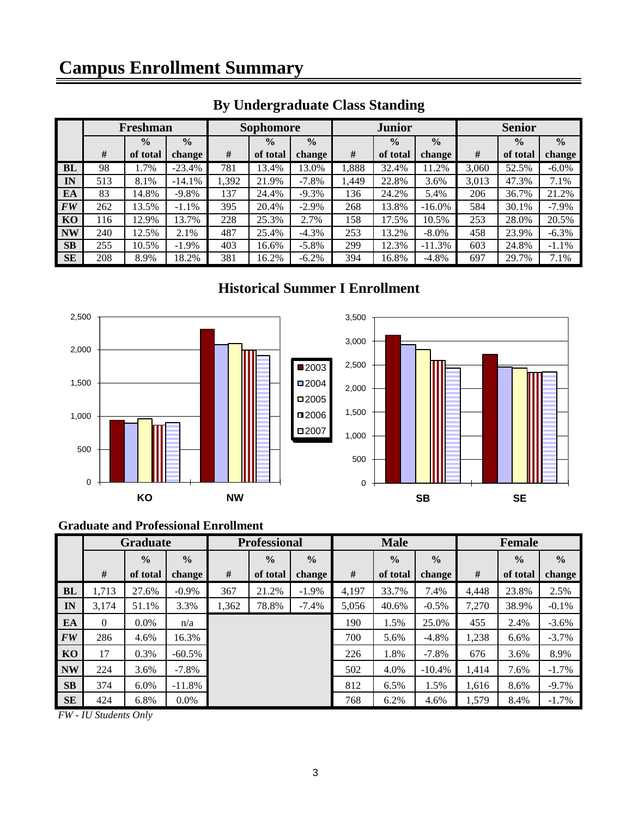|                                | Freshman |               |               | <b>Sophomore</b> |               |               | <b>Junior</b> |               | <b>Senior</b> |       |               |               |
|--------------------------------|----------|---------------|---------------|------------------|---------------|---------------|---------------|---------------|---------------|-------|---------------|---------------|
|                                |          | $\frac{0}{0}$ | $\frac{0}{0}$ |                  | $\frac{0}{0}$ | $\frac{0}{0}$ |               | $\frac{0}{0}$ | $\frac{0}{0}$ |       | $\frac{0}{0}$ | $\frac{0}{0}$ |
|                                | #        | of total      | change        | #                | of total      | change        | #             | of total      | change        | #     | of total      | change        |
| BL                             | 98       | 1.7%          | $-23.4%$      | 781              | 13.4%         | 13.0%         | 1,888         | 32.4%         | 11.2%         | 3,060 | 52.5%         | $-6.0\%$      |
| IN                             | 513      | 8.1%          | $-14.1%$      | 1,392            | 21.9%         | $-7.8\%$      | 1,449         | 22.8%         | 3.6%          | 3,013 | 47.3%         | 7.1%          |
| EA                             | 83       | 14.8%         | $-9.8\%$      | 137              | 24.4%         | $-9.3%$       | 136           | 24.2%         | 5.4%          | 206   | 36.7%         | 21.2%         |
| $\boldsymbol{F}\boldsymbol{W}$ | 262      | 13.5%         | $-1.1%$       | 395              | 20.4%         | $-2.9\%$      | 268           | 13.8%         | $-16.0\%$     | 584   | 30.1%         | $-7.9\%$      |
| KO                             | 116      | 12.9%         | 13.7%         | 228              | 25.3%         | 2.7%          | 158           | 17.5%         | 10.5%         | 253   | 28.0%         | 20.5%         |
| <b>NW</b>                      | 240      | 12.5%         | 2.1%          | 487              | 25.4%         | $-4.3%$       | 253           | 13.2%         | $-8.0\%$      | 458   | 23.9%         | $-6.3\%$      |
| <b>SB</b>                      | 255      | 10.5%         | $-1.9\%$      | 403              | 16.6%         | $-5.8\%$      | 299           | 12.3%         | $-11.3%$      | 603   | 24.8%         | $-1.1%$       |
| <b>SE</b>                      | 208      | 8.9%          | 18.2%         | 381              | 16.2%         | $-6.2%$       | 394           | 16.8%         | $-4.8\%$      | 697   | 29.7%         | 7.1%          |

## **By Undergraduate Class Standing**

#### **Historical Summer I Enrollment**



#### **Graduate and Professional Enrollment**

|           | <b>Graduate</b> |               |               | <b>Professional</b> |               | <b>Male</b>   |       |               | <b>Female</b> |       |               |               |
|-----------|-----------------|---------------|---------------|---------------------|---------------|---------------|-------|---------------|---------------|-------|---------------|---------------|
|           |                 | $\frac{0}{0}$ | $\frac{0}{0}$ |                     | $\frac{0}{0}$ | $\frac{0}{0}$ |       | $\frac{0}{0}$ | $\frac{0}{0}$ |       | $\frac{0}{0}$ | $\frac{0}{0}$ |
|           | #               | of total      | change        | #                   | of total      | change        | #     | of total      | change        | #     | of total      | change        |
| <b>BL</b> | 1,713           | 27.6%         | $-0.9\%$      | 367                 | 21.2%         | $-1.9\%$      | 4,197 | 33.7%         | 7.4%          | 4,448 | 23.8%         | 2.5%          |
| IN        | 3.174           | 51.1%         | 3.3%          | 1,362               | 78.8%         | $-7.4%$       | 5,056 | 40.6%         | $-0.5\%$      | 7,270 | 38.9%         | $-0.1\%$      |
| EA        | $\Omega$        | $0.0\%$       | n/a           |                     |               |               | 190   | 1.5%          | 25.0%         | 455   | 2.4%          | $-3.6\%$      |
| <b>FW</b> | 286             | 4.6%          | 16.3%         |                     |               |               | 700   | 5.6%          | $-4.8%$       | 1,238 | 6.6%          | $-3.7\%$      |
| KO        | 17              | 0.3%          | $-60.5\%$     |                     |               |               | 226   | 1.8%          | $-7.8%$       | 676   | 3.6%          | 8.9%          |
| <b>NW</b> | 224             | 3.6%          | $-7.8\%$      |                     |               |               | 502   | 4.0%          | $-10.4%$      | 1,414 | 7.6%          | $-1.7%$       |
| SB        | 374             | 6.0%          | $-11.8%$      |                     |               |               | 812   | 6.5%          | 1.5%          | 1,616 | 8.6%          | $-9.7\%$      |
| <b>SE</b> | 424             | 6.8%          | $0.0\%$       |                     |               |               | 768   | 6.2%          | 4.6%          | 1,579 | 8.4%          | $-1.7\%$      |

*FW - IU Students Only*